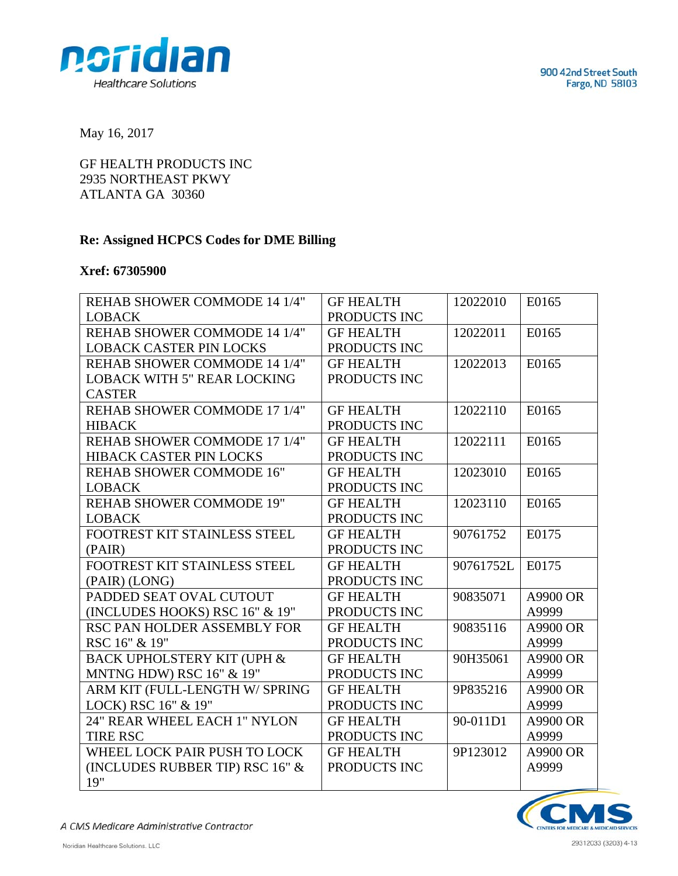

May 16, 2017

GF HEALTH PRODUCTS INC 2935 NORTHEAST PKWY ATLANTA GA 30360

## **Re: Assigned HCPCS Codes for DME Billing**

## **Xref: 67305900**

| REHAB SHOWER COMMODE 14 1/4"          | <b>GF HEALTH</b> | 12022010  | E0165    |
|---------------------------------------|------------------|-----------|----------|
| <b>LOBACK</b>                         | PRODUCTS INC     |           |          |
| REHAB SHOWER COMMODE 14 1/4"          | <b>GF HEALTH</b> | 12022011  | E0165    |
| <b>LOBACK CASTER PIN LOCKS</b>        | PRODUCTS INC     |           |          |
| REHAB SHOWER COMMODE 14 1/4"          | <b>GF HEALTH</b> | 12022013  | E0165    |
| <b>LOBACK WITH 5" REAR LOCKING</b>    | PRODUCTS INC     |           |          |
| <b>CASTER</b>                         |                  |           |          |
| REHAB SHOWER COMMODE 17 1/4"          | <b>GF HEALTH</b> | 12022110  | E0165    |
| <b>HIBACK</b>                         | PRODUCTS INC     |           |          |
| REHAB SHOWER COMMODE 17 1/4"          | <b>GF HEALTH</b> | 12022111  | E0165    |
| HIBACK CASTER PIN LOCKS               | PRODUCTS INC     |           |          |
| <b>REHAB SHOWER COMMODE 16"</b>       | <b>GF HEALTH</b> | 12023010  | E0165    |
| <b>LOBACK</b>                         | PRODUCTS INC     |           |          |
| <b>REHAB SHOWER COMMODE 19"</b>       | <b>GF HEALTH</b> | 12023110  | E0165    |
| <b>LOBACK</b>                         | PRODUCTS INC     |           |          |
| FOOTREST KIT STAINLESS STEEL          | <b>GF HEALTH</b> | 90761752  | E0175    |
| (PAIR)                                | PRODUCTS INC     |           |          |
| FOOTREST KIT STAINLESS STEEL          | <b>GF HEALTH</b> | 90761752L | E0175    |
| (PAIR) (LONG)                         | PRODUCTS INC     |           |          |
| PADDED SEAT OVAL CUTOUT               | <b>GF HEALTH</b> | 90835071  | A9900 OR |
| (INCLUDES HOOKS) RSC 16" & 19"        | PRODUCTS INC     |           | A9999    |
| RSC PAN HOLDER ASSEMBLY FOR           | <b>GF HEALTH</b> | 90835116  | A9900 OR |
| RSC 16" & 19"                         | PRODUCTS INC     |           | A9999    |
| <b>BACK UPHOLSTERY KIT (UPH &amp;</b> | <b>GF HEALTH</b> | 90H35061  | A9900 OR |
| <b>MNTNG HDW) RSC 16" &amp; 19"</b>   | PRODUCTS INC     |           | A9999    |
| ARM KIT (FULL-LENGTH W/ SPRING        | <b>GF HEALTH</b> | 9P835216  | A9900 OR |
| LOCK) RSC 16" & 19"                   | PRODUCTS INC     |           | A9999    |
| 24" REAR WHEEL EACH 1" NYLON          | <b>GF HEALTH</b> | 90-011D1  | A9900 OR |
| <b>TIRE RSC</b>                       | PRODUCTS INC     |           | A9999    |
| WHEEL LOCK PAIR PUSH TO LOCK          | <b>GF HEALTH</b> | 9P123012  | A9900 OR |
| (INCLUDES RUBBER TIP) RSC 16" &       | PRODUCTS INC     |           | A9999    |
| 19"                                   |                  |           |          |



A CMS Medicare Administrative Contractor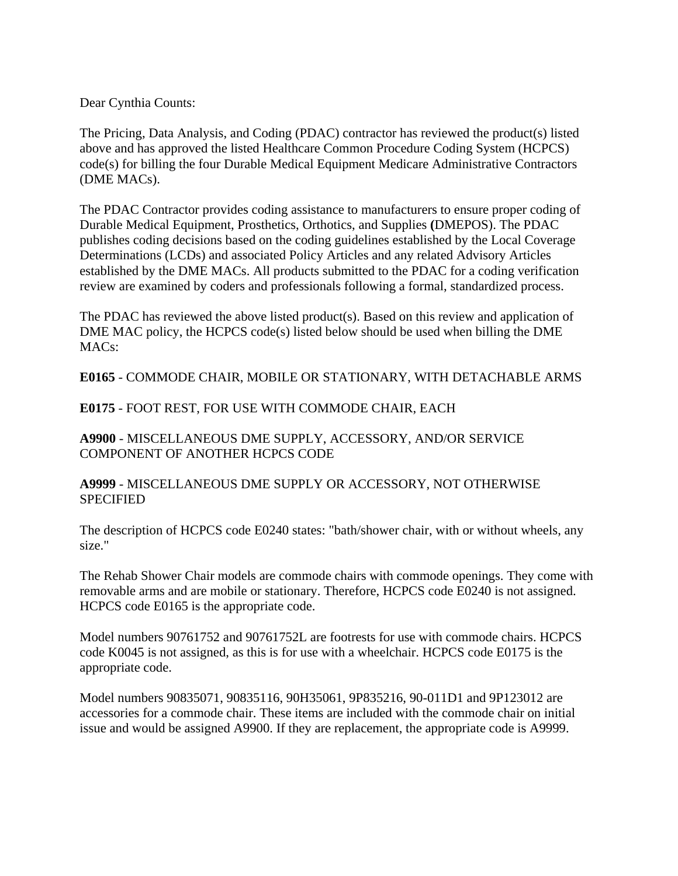Dear Cynthia Counts:

The Pricing, Data Analysis, and Coding (PDAC) contractor has reviewed the product(s) listed above and has approved the listed Healthcare Common Procedure Coding System (HCPCS) code(s) for billing the four Durable Medical Equipment Medicare Administrative Contractors (DME MACs).

The PDAC Contractor provides coding assistance to manufacturers to ensure proper coding of Durable Medical Equipment, Prosthetics, Orthotics, and Supplies **(**DMEPOS). The PDAC publishes coding decisions based on the coding guidelines established by the Local Coverage Determinations (LCDs) and associated Policy Articles and any related Advisory Articles established by the DME MACs. All products submitted to the PDAC for a coding verification review are examined by coders and professionals following a formal, standardized process.

The PDAC has reviewed the above listed product(s). Based on this review and application of DME MAC policy, the HCPCS code(s) listed below should be used when billing the DME MACs:

**E0165** - COMMODE CHAIR, MOBILE OR STATIONARY, WITH DETACHABLE ARMS

**E0175** - FOOT REST, FOR USE WITH COMMODE CHAIR, EACH

**A9900** - MISCELLANEOUS DME SUPPLY, ACCESSORY, AND/OR SERVICE COMPONENT OF ANOTHER HCPCS CODE

**A9999** - MISCELLANEOUS DME SUPPLY OR ACCESSORY, NOT OTHERWISE SPECIFIED

The description of HCPCS code E0240 states: "bath/shower chair, with or without wheels, any size."

The Rehab Shower Chair models are commode chairs with commode openings. They come with removable arms and are mobile or stationary. Therefore, HCPCS code E0240 is not assigned. HCPCS code E0165 is the appropriate code.

Model numbers 90761752 and 90761752L are footrests for use with commode chairs. HCPCS code K0045 is not assigned, as this is for use with a wheelchair. HCPCS code E0175 is the appropriate code.

Model numbers 90835071, 90835116, 90H35061, 9P835216, 90-011D1 and 9P123012 are accessories for a commode chair. These items are included with the commode chair on initial issue and would be assigned A9900. If they are replacement, the appropriate code is A9999.